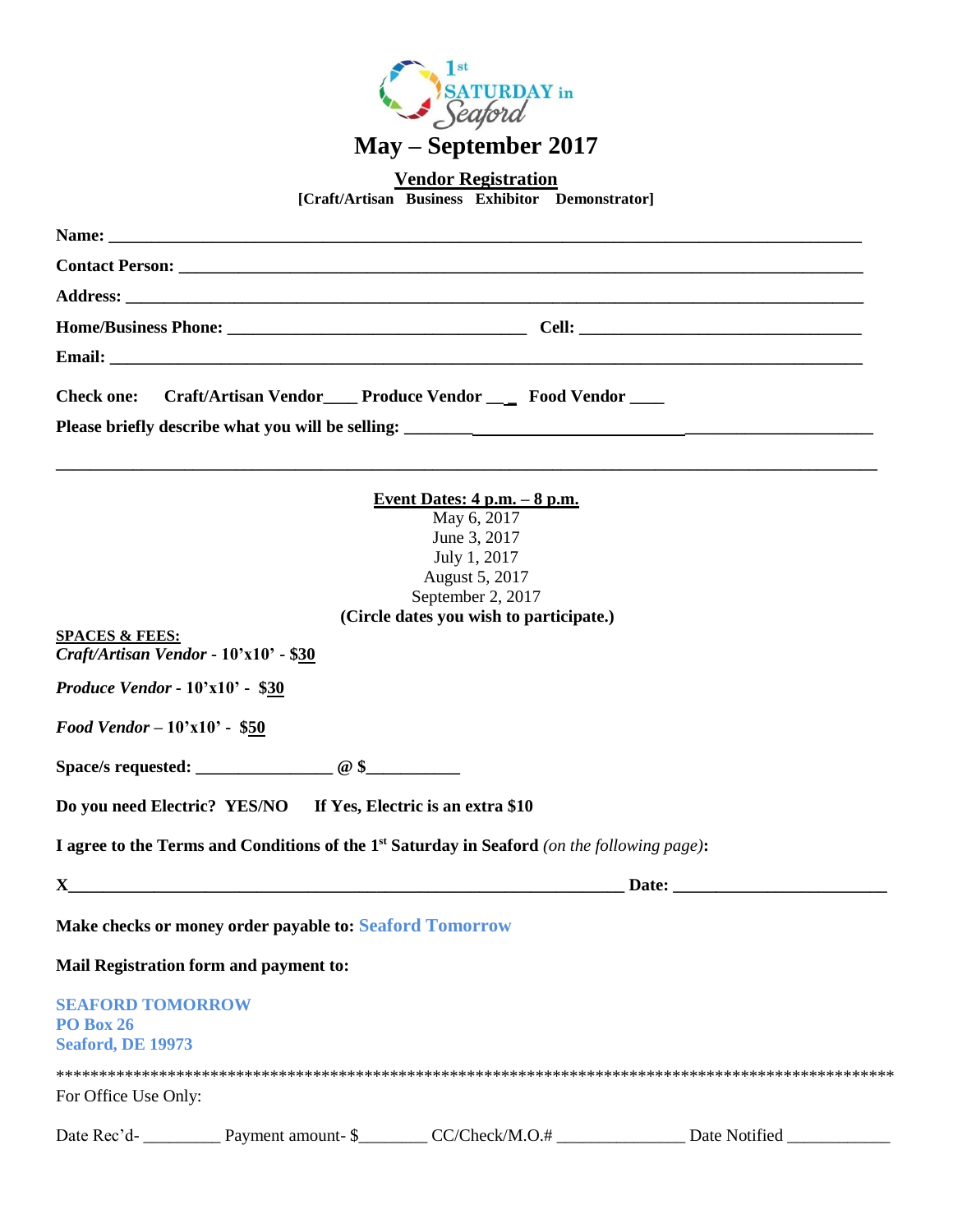

**Vendor Registration**

**[Craft/Artisan Business Exhibitor Demonstrator]**

| Craft/Artisan Vendor____ Produce Vendor ____ Food Vendor ____<br><b>Check one:</b>                                                                                                                                                                                                                                                                                                                                                                                                                                  |  |
|---------------------------------------------------------------------------------------------------------------------------------------------------------------------------------------------------------------------------------------------------------------------------------------------------------------------------------------------------------------------------------------------------------------------------------------------------------------------------------------------------------------------|--|
|                                                                                                                                                                                                                                                                                                                                                                                                                                                                                                                     |  |
|                                                                                                                                                                                                                                                                                                                                                                                                                                                                                                                     |  |
| <u>Event Dates: 4 p.m. – 8 p.m.</u><br>May 6, 2017<br>June 3, 2017<br>July 1, 2017<br>August 5, 2017<br>September 2, 2017<br>(Circle dates you wish to participate.)<br><b>SPACES &amp; FEES:</b><br>Craft/Artisan Vendor - 10'x10' - \$30<br>Produce Vendor - 10'x10' - \$30<br>Food Vendor - 10'x10' - \$50                                                                                                                                                                                                       |  |
| Do you need Electric? YES/NO If Yes, Electric is an extra \$10                                                                                                                                                                                                                                                                                                                                                                                                                                                      |  |
| I agree to the Terms and Conditions of the 1 <sup>st</sup> Saturday in Seaford (on the following page):                                                                                                                                                                                                                                                                                                                                                                                                             |  |
| $\mathbf{X}$ and $\mathbf{X}$ and $\mathbf{X}$ are the set of $\mathbf{X}$ and $\mathbf{X}$ are the set of $\mathbf{X}$ and $\mathbf{X}$ are the set of $\mathbf{X}$ and $\mathbf{X}$ are the set of $\mathbf{X}$ and $\mathbf{X}$ are the set of $\mathbf{X}$ and $\mathbf{X}$ a<br>Date: the contract of the contract of the contract of the contract of the contract of the contract of the contract of the contract of the contract of the contract of the contract of the contract of the contract of the cont |  |
| Make checks or money order payable to: Seaford Tomorrow                                                                                                                                                                                                                                                                                                                                                                                                                                                             |  |
| Mail Registration form and payment to:                                                                                                                                                                                                                                                                                                                                                                                                                                                                              |  |
| <b>SEAFORD TOMORROW</b><br>PO Box 26<br><b>Seaford, DE 19973</b>                                                                                                                                                                                                                                                                                                                                                                                                                                                    |  |
| For Office Use Only:                                                                                                                                                                                                                                                                                                                                                                                                                                                                                                |  |

Date Rec'd- \_\_\_\_\_\_\_\_\_\_ Payment amount- \$\_\_\_\_\_\_\_\_ CC/Check/M.O.# \_\_\_\_\_\_\_\_\_\_\_\_\_\_\_ Date Notified \_\_\_\_\_\_\_\_\_\_\_\_\_\_\_\_